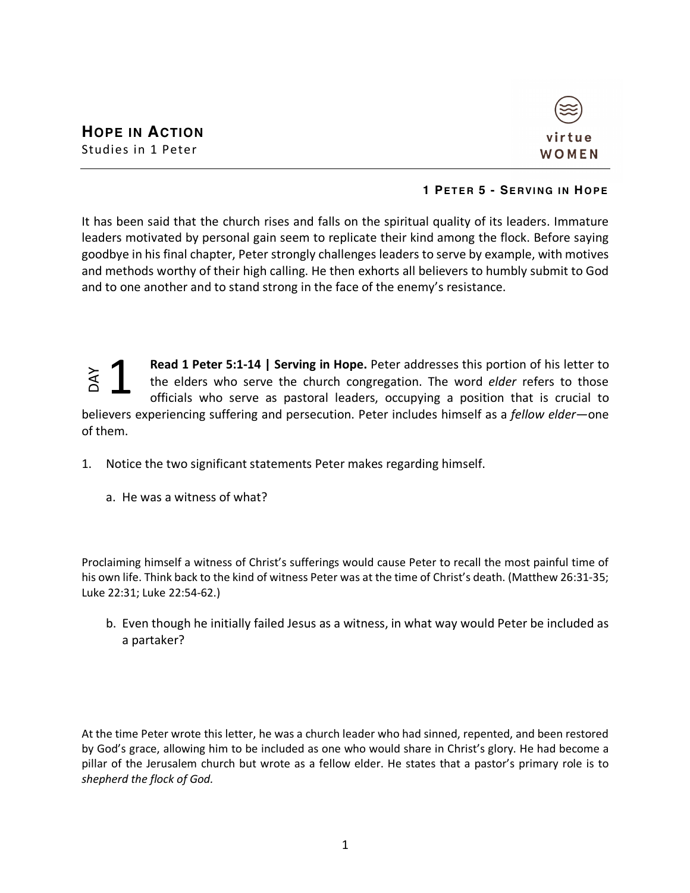

## **1 PETER 5 - SERVING IN HOPE**

It has been said that the church rises and falls on the spiritual quality of its leaders. Immature leaders motivated by personal gain seem to replicate their kind among the flock. Before saying goodbye in his final chapter, Peter strongly challenges leaders to serve by example, with motives and methods worthy of their high calling. He then exhorts all believers to humbly submit to God and to one another and to stand strong in the face of the enemy's resistance.

**Read 1 Peter 5:1-14 | Serving in Hope.** Peter addresses this portion of his letter to the elders who serve the church congregation. The word *elder* refers to those officials who serve as pastoral leaders, occupying a position that is crucial to believers experiencing suffering and persecution. Peter includes himself as a *fellow elder*—one of them. **Example 12 Set the elders**<br>the elders<br>officials whelievers experiencing s<br>of them.<br>1. Notice the two sign<br>a. He was a witness<br>Proclaiming himself a witr<br>his own life. Think back to<br>Luke 22:31; Luke 22:54-62<br>b. Even though 1

- 1. Notice the two significant statements Peter makes regarding himself.
	- a. He was a witness of what?

Proclaiming himself a witness of Christ's sufferings would cause Peter to recall the most painful time of his own life. Think back to the kind of witness Peter was at the time of Christ's death. (Matthew 26:31-35; Luke 22:31; Luke 22:54-62.)

b. Even though he initially failed Jesus as a witness, in what way would Peter be included as a partaker?

At the time Peter wrote this letter, he was a church leader who had sinned, repented, and been restored by God's grace, allowing him to be included as one who would share in Christ's glory. He had become a pillar of the Jerusalem church but wrote as a fellow elder. He states that a pastor's primary role is to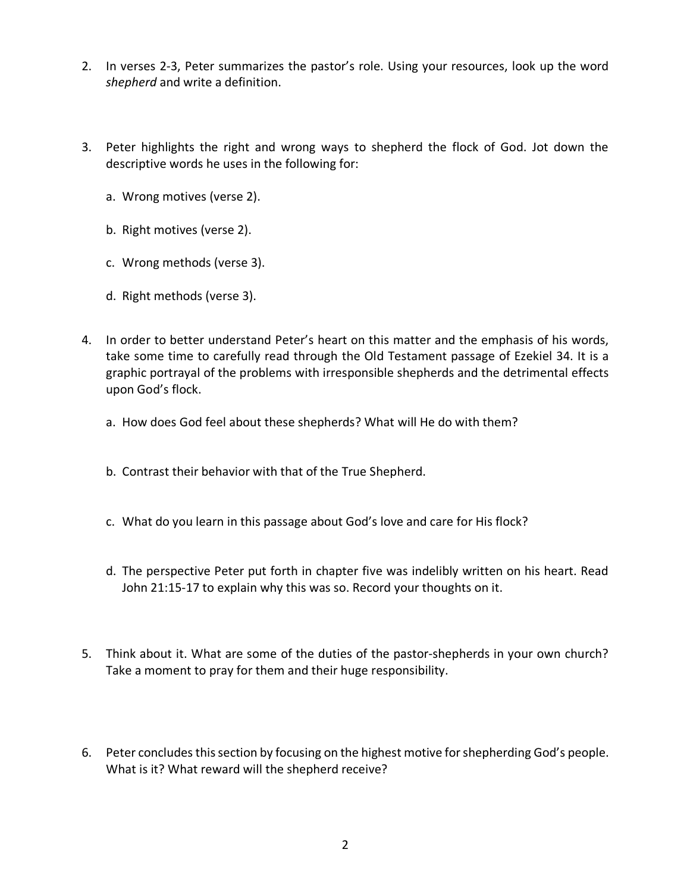- 2. In verses 2-3, Peter summarizes the pastor's role. Using your resources, look up the word *shepherd* and write a definition.
- 3. Peter highlights the right and wrong ways to shepherd the flock of God. Jot down the descriptive words he uses in the following for:
	- a. Wrong motives (verse 2).
	- b. Right motives (verse 2).
	- c. Wrong methods (verse 3).
	- d. Right methods (verse 3).
- 4. In order to better understand Peter's heart on this matter and the emphasis of his words, take some time to carefully read through the Old Testament passage of Ezekiel 34. It is a graphic portrayal of the problems with irresponsible shepherds and the detrimental effects upon God's flock.
	- a. How does God feel about these shepherds? What will He do with them?
	- b. Contrast their behavior with that of the True Shepherd.
	- c. What do you learn in this passage about God's love and care for His flock?
	- d. The perspective Peter put forth in chapter five was indelibly written on his heart. Read John 21:15-17 to explain why this was so. Record your thoughts on it.
- 5. Think about it. What are some of the duties of the pastor-shepherds in your own church? Take a moment to pray for them and their huge responsibility.
- 6. Peter concludes this section by focusing on the highest motive for shepherding God's people. What is it? What reward will the shepherd receive?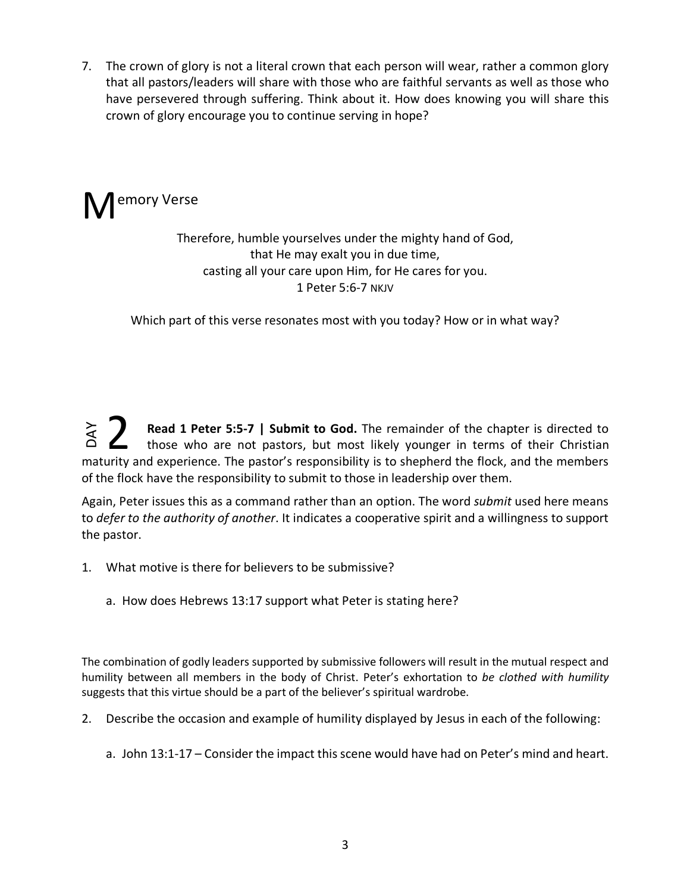7. The crown of glory is not a literal crown that each person will wear, rather a common glory that all pastors/leaders will share with those who are faithful servants as well as those who have persevered through suffering. Think about it. How does knowing you will share this crown of glory encourage you to continue serving in hope?



## Therefore, humble yourselves under the mighty hand of God, that He may exalt you in due time, casting all your care upon Him, for He cares for you. 1 Peter 5:6-7 NKJV

Which part of this verse resonates most with you today? How or in what way?

**Read 1 Peter 5:5-7 | Submit to God.** The remainder of the chapter is directed to those who are not pastors, but most likely younger in terms of their Christian maturity and experience. The pastor's responsibility is to shepherd the flock, and the members of the flock have the responsibility to submit to those in leadership over them. DAY 2

Again, Peter issues this as a command rather than an option. The word *submit* used here means to *defer to the authority of another*. It indicates a cooperative spirit and a willingness to support the pastor.

- 1. What motive is there for believers to be submissive?
	- a. How does Hebrews 13:17 support what Peter is stating here?

The combination of godly leaders supported by submissive followers will result in the mutual respect and humility between all members in the body of Christ. Peter's exhortation to *be clothed with humility* suggests that this virtue should be a part of the believer's spiritual wardrobe.

- 2. Describe the occasion and example of humility displayed by Jesus in each of the following:
	- a. John 13:1-17 Consider the impact this scene would have had on Peter's mind and heart.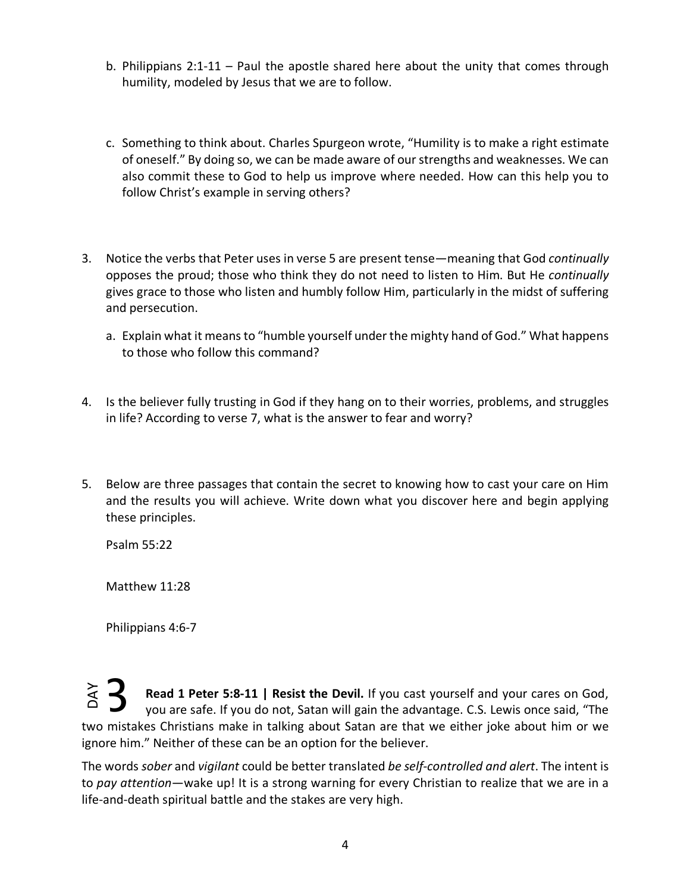- b. Philippians 2:1-11 Paul the apostle shared here about the unity that comes through humility, modeled by Jesus that we are to follow.
- c. Something to think about. Charles Spurgeon wrote, "Humility is to make a right estimate of oneself." By doing so, we can be made aware of our strengths and weaknesses. We can also commit these to God to help us improve where needed. How can this help you to follow Christ's example in serving others?
- 3. Notice the verbs that Peter uses in verse 5 are present tense—meaning that God *continually*  opposes the proud; those who think they do not need to listen to Him. But He *continually*  gives grace to those who listen and humbly follow Him, particularly in the midst of suffering and persecution.
	- a. Explain what it means to "humble yourself under the mighty hand of God." What happens to those who follow this command?
- 4. Is the believer fully trusting in God if they hang on to their worries, problems, and struggles in life? According to verse 7, what is the answer to fear and worry?
- 5. Below are three passages that contain the secret to knowing how to cast your care on Him and the results you will achieve. Write down what you discover here and begin applying these principles.

Psalm 55:22

Matthew 11:28

Philippians 4:6-7

**Read 1 Peter 5:8-11 | Resist the Devil.** If you cast yourself and your cares on God, you are safe. If you do not, Satan will gain the advantage. C.S. Lewis once said, "The two mistakes Christians make in talking about S you are safe. If you do not, Satan will gain the advantage. C.S. Lewis once said, "The two mistakes Christians make in talking about Satan are that we either joke about him or we ignore him." Neither of these can be an option for the believer. 3

The words *sober* and *vigilant* could be better translated *be self-controlled and alert*. The intent is to *pay attention*—wake up! It is a strong warning for every Christian to realize that we are in a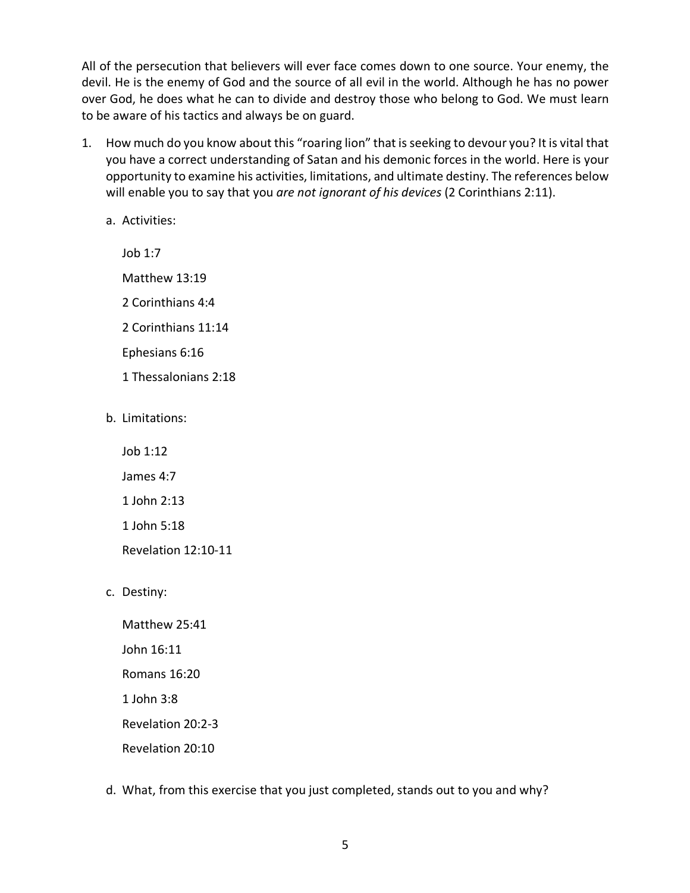All of the persecution that believers will ever face comes down to one source. Your enemy, the devil. He is the enemy of God and the source of all evil in the world. Although he has no power over God, he does what he can to divide and destroy those who belong to God. We must learn to be aware of his tactics and always be on guard.

- 1. How much do you know about this "roaring lion" that is seeking to devour you? It is vital that you have a correct understanding of Satan and his demonic forces in the world. Here is your opportunity to examine his activities, limitations, and ultimate destiny. The references below will enable you to say that you *are not ignorant of his devices* (2 Corinthians 2:11).
	- a. Activities:

Job 1:7 Matthew 13:19 2 Corinthians 4:4 2 Corinthians 11:14 Ephesians 6:16 1 Thessalonians 2:18

b. Limitations:

Job 1:12

James 4:7

1 John 2:13

1 John 5:18

Revelation 12:10-11

c. Destiny:

Matthew 25:41 John 16:11 Romans 16:20 1 John 3:8 Revelation 20:2-3 Revelation 20:10

d. What, from this exercise that you just completed, stands out to you and why?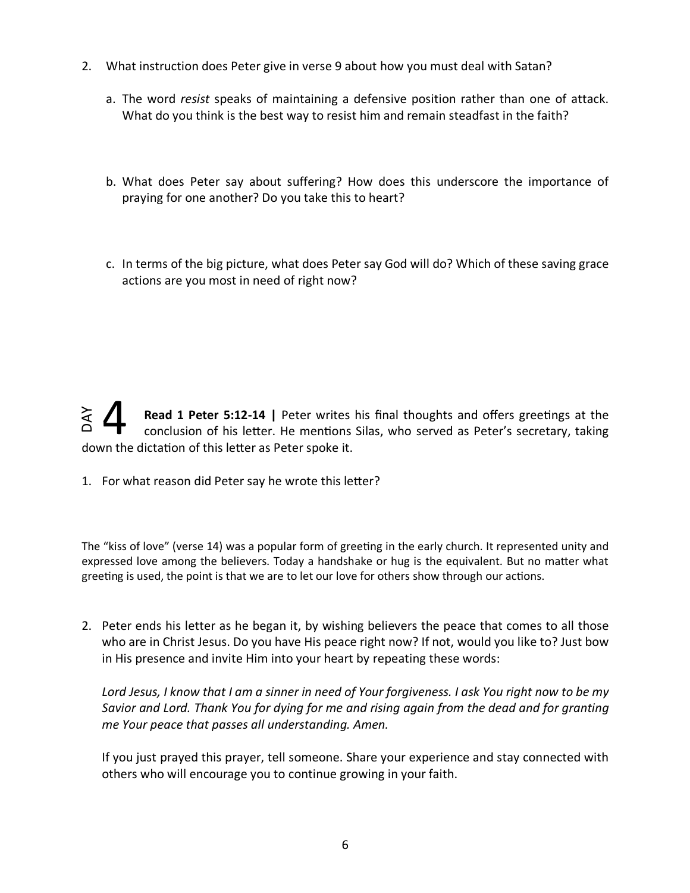- 2. What instruction does Peter give in verse 9 about how you must deal with Satan?
	- a. The word *resist* speaks of maintaining a defensive position rather than one of attack. What do you think is the best way to resist him and remain steadfast in the faith?
	- b. What does Peter say about suffering? How does this underscore the importance of praying for one another? Do you take this to heart?
	- c. In terms of the big picture, what does Peter say God will do? Which of these saving grace actions are you most in need of right now?

**Read 1 Peter 5:12-14 | Peter writes his final thoughts and offers greetings at the** conclusion of his letter. He mentions Silas, who served as Peter's secretary, taking down the dictation of this letter as Peter spoke it. DAY 4

1. For what reason did Peter say he wrote this letter?

The "kiss of love" (verse 14) was a popular form of greeting in the early church. It represented unity and expressed love among the believers. Today a handshake or hug is the equivalent. But no matter what greeting is used, the point is that we are to let our love for others show through our actions.

2. Peter ends his letter as he began it, by wishing believers the peace that comes to all those who are in Christ Jesus. Do you have His peace right now? If not, would you like to? Just bow in His presence and invite Him into your heart by repeating these words:

*Lord Jesus, I know that I am a sinner in need of Your forgiveness. I ask You right now to be my Savior and Lord. Thank You for dying for me and rising again from the dead and for granting me Your peace that passes all understanding. Amen.* 

If you just prayed this prayer, tell someone. Share your experience and stay connected with others who will encourage you to continue growing in your faith.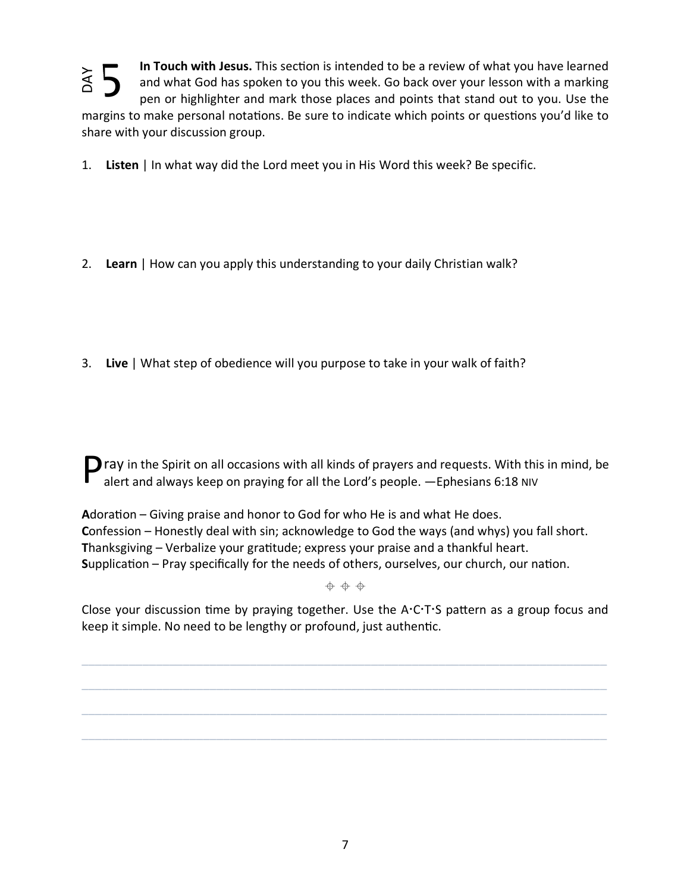5 In Touch with Jesus. This section is intended to be a review of what you have learned **NAC**  $\begin{bmatrix} 2 \ 2 \end{bmatrix}$  mar 1.<br>2.<br>3. and what God has spoken to you this week. Go back over your lesson with a marking pen or highlighter and mark those places and points that stand out to you. Use the margins to make personal notations. Be sure to indicate which points or questions you'd like to share with your discussion group.

1. **Listen** | In what way did the Lord meet you in His Word this week? Be specific.

- 2. **Learn** | How can you apply this understanding to your daily Christian walk?
- 3. **Live** | What step of obedience will you purpose to take in your walk of faith?

 $\Box$  ray in the Spirit on all occasions with all kinds of prayers and requests. With this in mind, be alert and always keep on praying for all the Lord's people. —Ephesians 6:18 NIV

Adoration – Giving praise and honor to God for who He is and what He does. **C**onfession – Honestly deal with sin; acknowledge to God the ways (and whys) you fall short. **T**hanksgiving – Verbalize your gramtude; express your praise and a thankful heart. **Supplication – Pray specifically for the needs of others, ourselves, our church, our nation.** 

 $+ + +$ 

Close your discussion time by praying together. Use the  $A:CTS$  pattern as a group focus and keep it simple. No need to be lengthy or profound, just authentic.

\_\_\_\_\_\_\_\_\_\_\_\_\_\_\_\_\_\_\_\_\_\_\_\_\_\_\_\_\_\_\_\_\_\_\_\_\_\_\_\_\_\_\_\_\_\_\_\_\_\_\_\_\_\_\_\_\_\_\_\_\_\_\_\_\_\_\_\_\_\_\_\_\_\_\_\_\_\_

\_\_\_\_\_\_\_\_\_\_\_\_\_\_\_\_\_\_\_\_\_\_\_\_\_\_\_\_\_\_\_\_\_\_\_\_\_\_\_\_\_\_\_\_\_\_\_\_\_\_\_\_\_\_\_\_\_\_\_\_\_\_\_\_\_\_\_\_\_\_\_\_\_\_\_\_\_\_

\_\_\_\_\_\_\_\_\_\_\_\_\_\_\_\_\_\_\_\_\_\_\_\_\_\_\_\_\_\_\_\_\_\_\_\_\_\_\_\_\_\_\_\_\_\_\_\_\_\_\_\_\_\_\_\_\_\_\_\_\_\_\_\_\_\_\_\_\_\_\_\_\_\_\_\_\_\_

 $\_$  , and the set of the set of the set of the set of the set of the set of the set of the set of the set of the set of the set of the set of the set of the set of the set of the set of the set of the set of the set of th